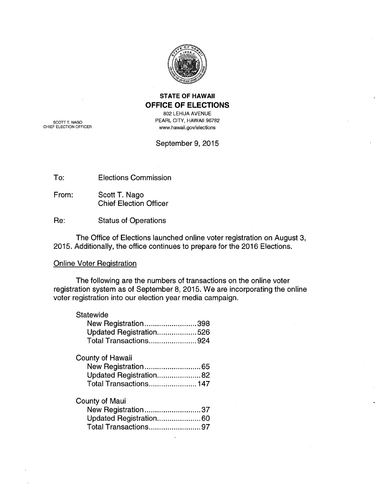

# **STATE OF HAWAII OFFICE OF ELECTIONS**

802 LEHUA AVENUE PEARL CITY, HAWAII 96782 www.hawaii.gov/elections

SCOTT T. NAGO<br>CHIEF ELECTION OFFICER

September 9, 2015

To: Elections Commission

From: Scott T. Nago Chief Election Officer

Re: Status of Operations

The Office of Elections launched online voter registration on August 3, 2015. Additionally, the office continues to prepare for the 2016 Elections.

## Online Voter Registration

The following are the numbers of transactions on the online voter registration system as of September 8, 2015. We are incorporating the online voter registration into our election year media campaign.

## **Statewide**

| New Registration398     |  |
|-------------------------|--|
| Updated Registration526 |  |
| Total Transactions924   |  |

## County of Hawaii

| Updated Registration82 |  |
|------------------------|--|
| Total Transactions 147 |  |

#### County of Maui

| New Registration37      |  |
|-------------------------|--|
| Updated Registration 60 |  |
| Total Transactions97    |  |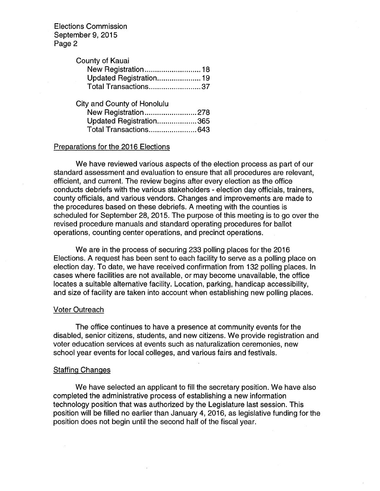Elections Commission September 9, 2015 Page 2

| County of Kauai         |  |
|-------------------------|--|
| New Registration 18     |  |
| Updated Registration 19 |  |
| Total Transactions37    |  |

| City and County of Honolulu |  |
|-----------------------------|--|
| New Registration278         |  |
| Updated Registration365     |  |
| Total Transactions643       |  |

### Preparations for the 2016 Elections

We have reviewed various aspects of the election process as part of our standard assessment and evaluation to ensure that all procedures are relevant, efficient, and current. The review begins after every election as the office conducts debriefs with the various stakeholders - election day officials, trainers, county officials, and various vendors. Changes and improvements are made to the procedures based on these debriefs. A meeting with the counties is scheduled for September 28, 2015. The purpose of this meeting is to go over the revised procedure manuals and standard operating procedures for ballot operations, counting center operations, and precinct operations.

We are in the process of securing 233 polling places for the 2016 Elections. A request has been sent to each facility to serve as a polling place on election day. To date, we have received confirmation from 132 polling places. In cases where facilities are not available, or may become unavailable, the office locates a suitable alternative facility. Location, parking, handicap accessibility, and size of facility are taken into account when establishing new polling places.

#### Voter Outreach

The office continues to have a presence at community events for the disabled, senior citizens, students, and new citizens. We provide registration and voter education services at events such as naturalization ceremonies, new school year events for local colleges, and various fairs and festivals.

#### Staffing Changes

We have selected an applicant to fill the secretary position. We have also completed the administrative process of establishing a new information technology position that was authorized by the Legislature last session. This position will be filled no earlier than January 4, 2016, as legislative funding for the position does not begin until the second half of the fiscal year.